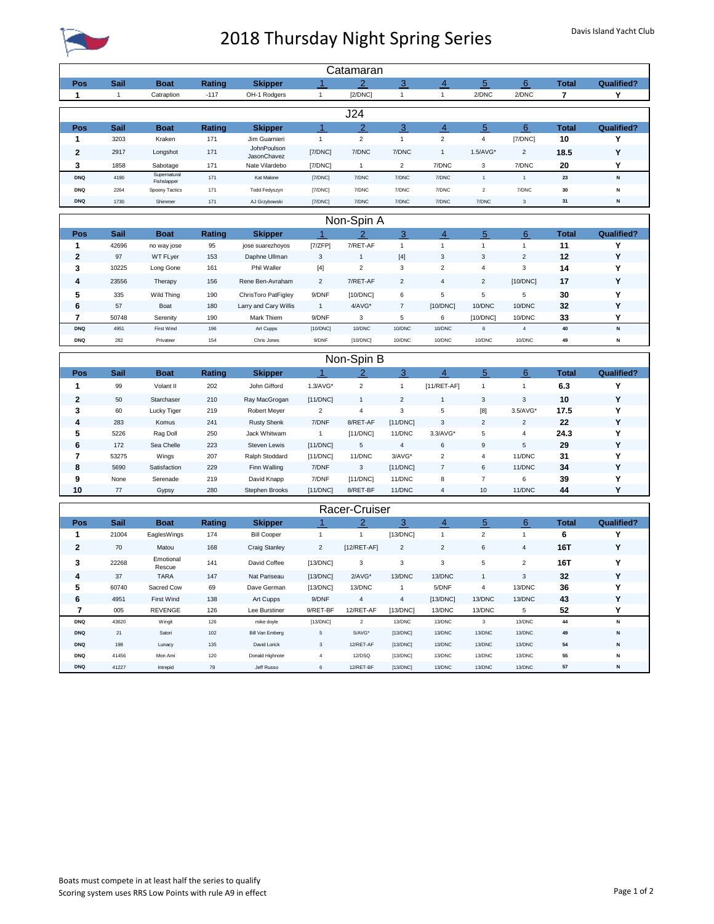

## 2018 Thursday Night Spring Series Davis Island Yacht Club

| Catamaran                     |               |                               |               |                                     |                         |                      |                     |                     |                         |                |                    |                        |
|-------------------------------|---------------|-------------------------------|---------------|-------------------------------------|-------------------------|----------------------|---------------------|---------------------|-------------------------|----------------|--------------------|------------------------|
| Pos                           | <b>Sail</b>   | <b>Boat</b>                   | Rating        | <b>Skipper</b>                      | 1                       | $\overline{2}$       | 3                   | $\overline{4}$      | 5                       | 6              | <b>Total</b>       | <b>Qualified?</b>      |
| 1                             | $\mathbf{1}$  | Catraption                    | $-117$        | OH-1 Rodgers                        | 1                       | [2/DNC]              | $\mathbf{1}$        | $\mathbf{1}$        | 2/DNC                   | 2/DNC          | 7                  | Y                      |
| J24                           |               |                               |               |                                     |                         |                      |                     |                     |                         |                |                    |                        |
| Pos                           | Sail          | <b>Boat</b>                   | Rating        | <b>Skipper</b>                      | $\mathbf{1}$            | $\overline{2}$       | 3                   | $\overline{4}$      | 5                       | 6              | <b>Total</b>       | <b>Qualified?</b>      |
| 1                             | 3203          | Kraken                        | 171           | Jim Guarnieri                       | $\mathbf{1}$            | $\overline{c}$       | $\mathbf{1}$        | $\sqrt{2}$          | $\overline{4}$          | [7/DNC]        | 10                 | Y                      |
| $\mathbf{2}$                  | 2917          | Longshot                      | 171           | JohnPoulson<br>JasonChavez          | [7/DNC]                 | 7/DNC                | 7/DNC               | $\mathbf{1}$        | 1.5/AVG*                | $\mathbf 2$    | 18.5               | Y                      |
| 3                             | 1858          | Sabotage                      | 171           | Nate Vilardebo                      | [7/DNC]                 | $\overline{1}$       | $\overline{2}$      | 7/DNC               | 3                       | 7/DNC          | 20                 | Y                      |
| <b>DNQ</b>                    | 4190          | Supernatural                  | 171           | Kat Malone                          | [7/DNC]                 | 7/DNC                | 7/DNC               | 7/DNC               | $\overline{1}$          | $\mathbf{1}$   | 23                 | N                      |
| <b>DNQ</b>                    | 2264          | Fishslapper<br>Spoony Tactics | 171           | Todd Fedyszyn                       | [7/DNC]                 | 7/DNC                | 7/DNC               | 7/DNC               | $\overline{2}$          | 7/DNC          | 30                 | N                      |
| <b>DNO</b>                    | 1730          | Shimmer                       | 171           | AJ Grzybowski                       | [7/DNC]                 | 7/DNC                | 7/DNC               | 7/DNC               | 7/DNC                   | $\mathsf 3$    | 31                 | N                      |
|                               |               |                               |               |                                     |                         | Non-Spin A           |                     |                     |                         |                |                    |                        |
|                               |               |                               |               |                                     | $\overline{1}$          | $\overline{2}$       | 3                   | $\overline{4}$      | 5                       | 6              |                    |                        |
| Pos<br>1                      | Sail<br>42696 | <b>Boat</b><br>no way jose    | Rating<br>95  | <b>Skipper</b><br>jose suarezhoyos  | [7/ZFP]                 | 7/RET-AF             | $\mathbf{1}$        | $\mathbf{1}$        | $\mathbf{1}$            | $\mathbf{1}$   | <b>Total</b><br>11 | <b>Qualified?</b><br>Υ |
| $\mathbf{2}$                  | 97            | WT FLyer                      | 153           | Daphne Ullman                       | 3                       | $\overline{1}$       | $[4]$               | $\sqrt{3}$          | 3                       | $\overline{2}$ | 12                 | Υ                      |
| 3                             | 10225         | Long Gone                     | 161           | Phil Waller                         | $[4]$                   | $\overline{2}$       | $\mathbf 3$         | $\overline{2}$      | $\overline{\mathbf{4}}$ | 3              | 14                 | Y                      |
| 4                             | 23556         | Therapy                       | 156           | Rene Ben-Avraham                    | $\overline{2}$          | 7/RET-AF             | $\overline{2}$      | $\overline{4}$      | $\overline{2}$          | [10/DNC]       | 17                 | Y                      |
|                               |               |                               |               |                                     |                         |                      |                     |                     |                         | 5              |                    |                        |
| 5                             | 335<br>57     | Wild Thing                    | 190<br>180    | ChrisToro PatFigley                 | 9/DNF<br>$\mathbf{1}$   | [10/DNC]<br>4/AVG*   | 6<br>$\overline{7}$ | 5                   | 5<br>10/DNC             | 10/DNC         | 30                 | Y<br>Y                 |
| 6<br>$\overline{\phantom{a}}$ | 50748         | Boat<br>Serenity              | 190           | Larry and Cary Willis<br>Mark Thiem | 9/DNF                   | 3                    | 5                   | [10/DNC]<br>6       | [10/DNC]                | 10/DNC         | 32<br>33           | Y                      |
| <b>DNQ</b>                    | 4951          | First Wind                    | 196           | Art Cupps                           | [10/DNC]                | 10/DNC               | 10/DNC              | 10/DNC              | 6                       | $\sqrt{4}$     | 40                 | N                      |
| <b>DNQ</b>                    | 282           | Privateer                     | 154           | Chris Jones                         | 9/DNF                   | [10/DNC]             | 10/DNC              | 10/DNC              | 10/DNC                  | 10/DNC         | 49                 | N                      |
|                               |               |                               |               |                                     |                         |                      |                     |                     |                         |                |                    |                        |
|                               |               |                               |               |                                     |                         | Non-Spin B           |                     |                     |                         |                |                    |                        |
| Pos                           | <b>Sail</b>   | <b>Boat</b>                   | <b>Rating</b> | <b>Skipper</b>                      | $\overline{1}$          | $\overline{2}$       | 3                   | $\overline{4}$      | 5                       | 6              | <b>Total</b>       | <b>Qualified?</b>      |
| 1                             | 99            | Volant II                     | 202           | John Gifford                        | $1.3/AVG*$              | $\sqrt{2}$           | $\mathbf{1}$        | $[11/RET-AF]$       | $\mathbf{1}$            | $\mathbf{1}$   | 6.3                | Y                      |
| $\mathbf{2}$                  | 50            | Starchaser                    | 210           | Ray MacGrogan                       | [11/DNC]                | $\overline{1}$       | $\overline{2}$      | $\mathbf{1}$        | 3                       | 3              | 10                 | Y                      |
| 3                             | 60            | Lucky Tiger                   | 219           | Robert Meyer                        | $\overline{\mathbf{c}}$ | $\overline{4}$       | 3                   | 5                   | [8]                     | $3.5/AVG*$     | 17.5               | Y                      |
| 4                             | 283           | Komus                         | 241           | <b>Rusty Shenk</b>                  | 7/DNF                   | 8/RET-AF             | [11/DNC]            | $\sqrt{3}$          | $\overline{2}$          | $\overline{c}$ | 22                 | Y                      |
| 5                             | 5226          | Rag Doll                      | 250           | Jack Whitwam                        | 1                       | [11/DNC]             | 11/DNC              | 3.3/AVG*            | 5                       | 4              | 24.3               | Y                      |
| 6                             | 172           | Sea Chelle                    | 223           | Steven Lewis                        | [11/DNC]                | 5                    | $\overline{4}$      | 6                   | 9                       | 5              | 29                 | Y                      |
| 7                             | 53275         | Wings                         | 207           | Ralph Stoddard                      | [11/DNC]                | 11/DNC               | $3/AVG*$            | $\overline{2}$      | $\overline{4}$          | 11/DNC         | 31                 | Y                      |
| 8<br>9                        | 5690          | Satisfaction                  | 229           | Finn Walling                        | 7/DNF<br>7/DNF          | $\mathbf{3}$         | [11/DNC]<br>11/DNC  | $\overline{7}$<br>8 | 6<br>$\overline{7}$     | 11/DNC<br>6    | 34                 | Y<br>Υ                 |
| 10                            | None<br>77    | Serenade<br>Gypsy             | 219<br>280    | David Knapp<br>Stephen Brooks       | [11/DNC]                | [11/DNC]<br>8/RET-BF | 11/DNC              | $\overline{4}$      | 10                      | 11/DNC         | 39<br>44           | Y                      |
|                               |               |                               |               |                                     |                         |                      |                     |                     |                         |                |                    |                        |
|                               |               |                               |               |                                     |                         | Racer-Cruiser        |                     |                     |                         |                |                    |                        |
| Pos                           | <b>Sail</b>   | <b>Boat</b>                   | Rating        | <b>Skipper</b>                      | 1                       | $\overline{2}$       | 3                   | $\overline{4}$      | 5                       | 6              | <b>Total</b>       | <b>Qualified?</b>      |
| 1                             | 21004         | EaglesWings                   | 174           | <b>Bill Cooper</b>                  | $\mathbf{1}$            | $\mathbf{1}$         | [13/DNC]            | $\mathbf{1}$        | $\overline{c}$          | $\mathbf{1}$   | 6                  | Y                      |
| $\mathbf{2}$                  | 70            | Matou                         | 168           | <b>Craig Stanley</b>                | $\overline{2}$          | $[12/RET-AF]$        | $\overline{2}$      | $\overline{2}$      | 6                       | 4              | 16T                | Y                      |
| 3                             | 22268         | Emotional<br>Rescue           | 141           | David Coffee                        | [13/DNC]                | 3                    | 3                   | $\mathbf{3}$        | 5                       | $\overline{2}$ | 16T                | Y                      |
| 4                             | 37            | <b>TARA</b>                   | 147           | Nat Pariseau                        | [13/DNC]                | $2/AVG*$             | 13/DNC              | 13/DNC              | 1                       | 3              | 32                 | Y                      |
| 5                             | 60740         | Sacred Cow                    | 69            | Dave German                         | [13/DNC]                | 13/DNC               | $\mathbf{1}$        | 5/DNF               | 4                       | 13/DNC         | 36                 | Y                      |

**6** 4951 First Wind 138 Art Cupps 9/DNF 4 4 [13/DNC] 13/DNC 13/DNC **43 Y 7** 005 REVENGE 126 Lee Burstiner 9/RET-BF 12/RET-AF [13/DNC] 13/DNC 13/DNC 5 **52 Y DNQ** 43620 Wingit 126 mike doyle [13/DNC] 2 13/DNC 13/DNC 3 13/DNC **44 N DNQ** 21 Satori 102 Bill Van Emberg 5 5/AVG\* [13/DNC] 13/DNC 13/DNC 13/DNC **49 N DNQ** 198 Lunacy 135 David Lorick 3 12/RET-AF [13/DNC] 13/DNC 13/DNC 13/DNC **54 N DNQ** 41456 Mon Ami 120 Donald Highnote 4 12/DSQ [13/DNC] 13/DNC 13/DNC 13/DNC **55 N DNQ** 41227 Intrepid 78 Jeff Russo 6 12/RET-BF [13/DNC] 13/DNC 13/DNC 13/DNC **57 N**